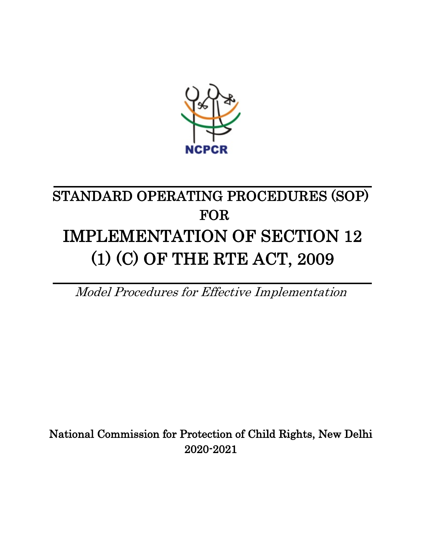

# STANDARD OPERATING PROCEDURES (SOP) FOR IMPLEMENTATION OF SECTION 12 (1) (C) OF THE RTE ACT, 2009

Model Procedures for Effective Implementation

National Commission for Protection of Child Rights, New Delhi 2020-2021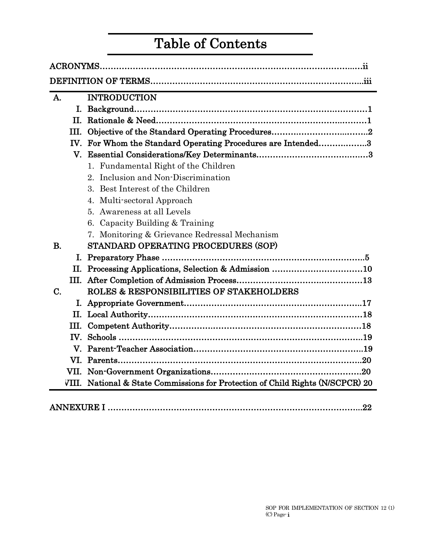# Table of Contents

| A.             |            | <b>INTRODUCTION</b>                                                            |
|----------------|------------|--------------------------------------------------------------------------------|
|                |            |                                                                                |
|                | <b>II.</b> |                                                                                |
|                | Ш.         |                                                                                |
|                | IV.        | For Whom the Standard Operating Procedures are Intended3                       |
|                |            |                                                                                |
|                |            | 1. Fundamental Right of the Children                                           |
|                |            | Inclusion and Non-Discrimination<br>$2^-$                                      |
|                |            | 3. Best Interest of the Children                                               |
|                |            | 4. Multi-sectoral Approach                                                     |
|                |            | 5. Awareness at all Levels                                                     |
|                |            | 6. Capacity Building & Training                                                |
|                |            | 7. Monitoring & Grievance Redressal Mechanism                                  |
| $\mathbf{B}$ . |            | STANDARD OPERATING PROCEDURES (SOP)                                            |
|                |            |                                                                                |
|                |            | II. Processing Applications, Selection & Admission 10                          |
|                |            |                                                                                |
| C.             |            | <b>ROLES &amp; RESPONSIBILITIES OF STAKEHOLDERS</b>                            |
|                |            |                                                                                |
|                |            |                                                                                |
|                |            |                                                                                |
|                |            |                                                                                |
|                |            |                                                                                |
|                |            |                                                                                |
|                |            |                                                                                |
|                |            | VIII. National & State Commissions for Protection of Child Rights (N/SCPCR) 20 |
|                |            |                                                                                |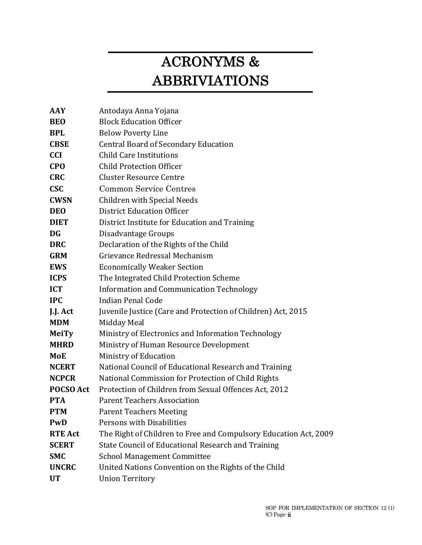# ACRONYMS & ABBRIVIATIONS

| AAY            | Antodaya Anna Yojana                                             |
|----------------|------------------------------------------------------------------|
| <b>BEO</b>     | <b>Block Education Officer</b>                                   |
| <b>BPL</b>     | <b>Below Poverty Line</b>                                        |
| <b>CBSE</b>    | <b>Central Board of Secondary Education</b>                      |
| <b>CCI</b>     | <b>Child Care Institutions</b>                                   |
| <b>CPO</b>     | <b>Child Protection Officer</b>                                  |
| <b>CRC</b>     | <b>Cluster Resource Centre</b>                                   |
| <b>CSC</b>     | <b>Common Service Centres</b>                                    |
| <b>CWSN</b>    | <b>Children with Special Needs</b>                               |
| <b>DEO</b>     | <b>District Education Officer</b>                                |
| <b>DIET</b>    | District Institute for Education and Training                    |
| <b>DG</b>      | Disadvantage Groups                                              |
| <b>DRC</b>     | Declaration of the Rights of the Child                           |
| <b>GRM</b>     | Grievance Redressal Mechanism                                    |
| <b>EWS</b>     | <b>Economically Weaker Section</b>                               |
| <b>ICPS</b>    | The Integrated Child Protection Scheme                           |
| <b>ICT</b>     | Information and Communication Technology                         |
| <b>IPC</b>     | Indian Penal Code                                                |
| J.J. Act       | Juvenile Justice (Care and Protection of Children) Act, 2015     |
| <b>MDM</b>     | Midday Meal                                                      |
| <b>MeiTy</b>   | Ministry of Electronics and Information Technology               |
| <b>MHRD</b>    | Ministry of Human Resource Development                           |
| <b>MoE</b>     | Ministry of Education                                            |
| <b>NCERT</b>   | National Council of Educational Research and Training            |
| <b>NCPCR</b>   | National Commission for Protection of Child Rights               |
| POCSO Act      | Protection of Children from Sexual Offences Act, 2012            |
| <b>PTA</b>     | <b>Parent Teachers Association</b>                               |
| <b>PTM</b>     | <b>Parent Teachers Meeting</b>                                   |
| PwD            | Persons with Disabilities                                        |
| <b>RTE Act</b> | The Right of Children to Free and Compulsory Education Act, 2009 |
| <b>SCERT</b>   | State Council of Educational Research and Training               |
| <b>SMC</b>     | <b>School Management Committee</b>                               |
| <b>UNCRC</b>   | United Nations Convention on the Rights of the Child             |
| <b>UT</b>      | <b>Union Territory</b>                                           |
|                |                                                                  |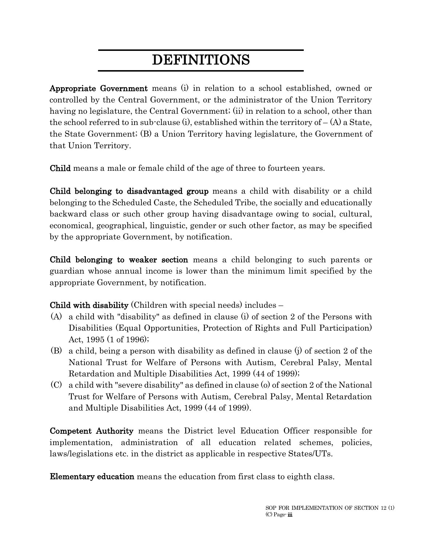# DEFINITIONS

Appropriate Government means (i) in relation to a school established, owned or controlled by the Central Government, or the administrator of the Union Territory having no legislature, the Central Government; (ii) in relation to a school, other than the school referred to in sub-clause (i), established within the territory of  $-(A)$  a State, the State Government; (B) a Union Territory having legislature, the Government of that Union Territory.

Child means a male or female child of the age of three to fourteen years.

Child belonging to disadvantaged group means a child with disability or a child belonging to the Scheduled Caste, the Scheduled Tribe, the socially and educationally backward class or such other group having disadvantage owing to social, cultural, economical, geographical, linguistic, gender or such other factor, as may be specified by the appropriate Government, by notification.

Child belonging to weaker section means a child belonging to such parents or guardian whose annual income is lower than the minimum limit specified by the appropriate Government, by notification.

Child with disability (Children with special needs) includes –

- (A) a child with "disability" as defined in clause (i) of section 2 of the Persons with Disabilities (Equal Opportunities, Protection of Rights and Full Participation) Act, 1995 (1 of 1996);
- (B) a child, being a person with disability as defined in clause (j) of section 2 of the National Trust for Welfare of Persons with Autism, Cerebral Palsy, Mental Retardation and Multiple Disabilities Act, 1999 (44 of 1999);
- (C) a child with "severe disability" as defined in clause (o) of section 2 of the National Trust for Welfare of Persons with Autism, Cerebral Palsy, Mental Retardation and Multiple Disabilities Act, 1999 (44 of 1999).

Competent Authority means the District level Education Officer responsible for implementation, administration of all education related schemes, policies, laws/legislations etc. in the district as applicable in respective States/UTs.

Elementary education means the education from first class to eighth class.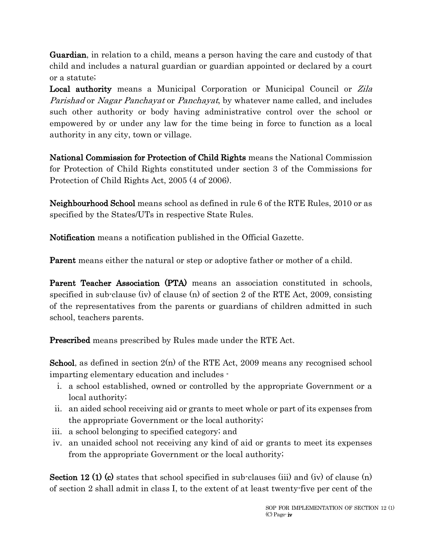Guardian, in relation to a child, means a person having the care and custody of that child and includes a natural guardian or guardian appointed or declared by a court or a statute;

Local authority means a Municipal Corporation or Municipal Council or Zila Parishad or Nagar Panchayat or Panchayat, by whatever name called, and includes such other authority or body having administrative control over the school or empowered by or under any law for the time being in force to function as a local authority in any city, town or village.

National Commission for Protection of Child Rights means the National Commission for Protection of Child Rights constituted under section 3 of the Commissions for Protection of Child Rights Act, 2005 (4 of 2006).

Neighbourhood School means school as defined in rule 6 of the RTE Rules, 2010 or as specified by the States/UTs in respective State Rules.

Notification means a notification published in the Official Gazette.

Parent means either the natural or step or adoptive father or mother of a child.

Parent Teacher Association (PTA) means an association constituted in schools, specified in sub-clause (iv) of clause (n) of section 2 of the RTE Act, 2009, consisting of the representatives from the parents or guardians of children admitted in such school, teachers parents.

Prescribed means prescribed by Rules made under the RTE Act.

**School**, as defined in section  $2(n)$  of the RTE Act, 2009 means any recognised school imparting elementary education and includes -

- i. a school established, owned or controlled by the appropriate Government or a local authority;
- ii. an aided school receiving aid or grants to meet whole or part of its expenses from the appropriate Government or the local authority;
- iii. a school belonging to specified category; and
- iv. an unaided school not receiving any kind of aid or grants to meet its expenses from the appropriate Government or the local authority;

Section 12 (1) (c) states that school specified in sub-clauses (iii) and (iv) of clause (n) of section 2 shall admit in class I, to the extent of at least twenty-five per cent of the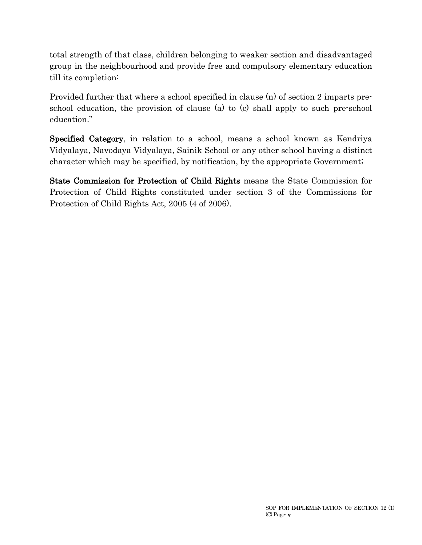total strength of that class, children belonging to weaker section and disadvantaged group in the neighbourhood and provide free and compulsory elementary education till its completion:

Provided further that where a school specified in clause (n) of section 2 imparts preschool education, the provision of clause (a) to (c) shall apply to such pre-school education."

Specified Category, in relation to a school, means a school known as Kendriya Vidyalaya, Navodaya Vidyalaya, Sainik School or any other school having a distinct character which may be specified, by notification, by the appropriate Government;

State Commission for Protection of Child Rights means the State Commission for Protection of Child Rights constituted under section 3 of the Commissions for Protection of Child Rights Act, 2005 (4 of 2006).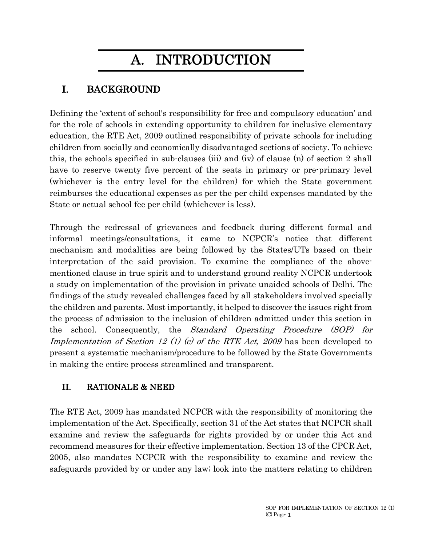# A. INTRODUCTION

# I. BACKGROUND

Defining the 'extent of school's responsibility for free and compulsory education' and for the role of schools in extending opportunity to children for inclusive elementary education, the RTE Act, 2009 outlined responsibility of private schools for including children from socially and economically disadvantaged sections of society. To achieve this, the schools specified in sub-clauses (iii) and (iv) of clause (n) of section 2 shall have to reserve twenty five percent of the seats in primary or pre-primary level (whichever is the entry level for the children) for which the State government reimburses the educational expenses as per the per child expenses mandated by the State or actual school fee per child (whichever is less).

Through the redressal of grievances and feedback during different formal and informal meetings/consultations, it came to NCPCR's notice that different mechanism and modalities are being followed by the States/UTs based on their interpretation of the said provision. To examine the compliance of the abovementioned clause in true spirit and to understand ground reality NCPCR undertook a study on implementation of the provision in private unaided schools of Delhi. The findings of the study revealed challenges faced by all stakeholders involved specially the children and parents. Most importantly, it helped to discover the issues right from the process of admission to the inclusion of children admitted under this section in the school. Consequently, the Standard Operating Procedure (SOP) for Implementation of Section 12 (1) (c) of the RTE Act, 2009 has been developed to present a systematic mechanism/procedure to be followed by the State Governments in making the entire process streamlined and transparent.

# II. RATIONALE & NEED

The RTE Act, 2009 has mandated NCPCR with the responsibility of monitoring the implementation of the Act. Specifically, section 31 of the Act states that NCPCR shall examine and review the safeguards for rights provided by or under this Act and recommend measures for their effective implementation. Section 13 of the CPCR Act, 2005, also mandates NCPCR with the responsibility to examine and review the safeguards provided by or under any law; look into the matters relating to children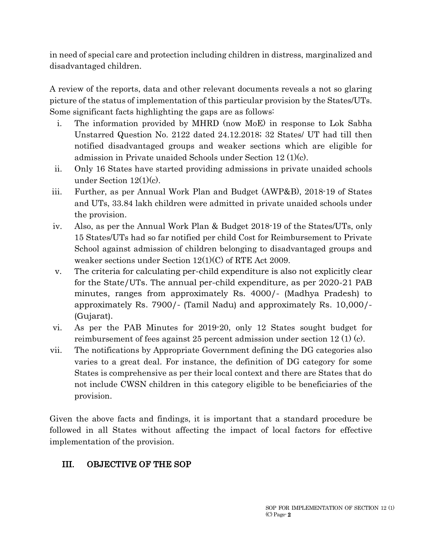in need of special care and protection including children in distress, marginalized and disadvantaged children.

A review of the reports, data and other relevant documents reveals a not so glaring picture of the status of implementation of this particular provision by the States/UTs. Some significant facts highlighting the gaps are as follows:

- i. The information provided by MHRD (now MoE) in response to Lok Sabha Unstarred Question No. 2122 dated 24.12.2018; 32 States/ UT had till then notified disadvantaged groups and weaker sections which are eligible for admission in Private unaided Schools under Section 12 (1)(c).
- ii. Only 16 States have started providing admissions in private unaided schools under Section 12(1)(c).
- iii. Further, as per Annual Work Plan and Budget (AWP&B), 2018-19 of States and UTs, 33.84 lakh children were admitted in private unaided schools under the provision.
- iv. Also, as per the Annual Work Plan & Budget 2018-19 of the States/UTs, only 15 States/UTs had so far notified per child Cost for Reimbursement to Private School against admission of children belonging to disadvantaged groups and weaker sections under Section 12(1)(C) of RTE Act 2009.
- v. The criteria for calculating per-child expenditure is also not explicitly clear for the State/UTs. The annual per-child expenditure, as per 2020-21 PAB minutes, ranges from approximately Rs. 4000/- (Madhya Pradesh) to approximately Rs. 7900/- (Tamil Nadu) and approximately Rs. 10,000/- (Gujarat).
- vi. As per the PAB Minutes for 2019-20, only 12 States sought budget for reimbursement of fees against 25 percent admission under section 12 (1) (c).
- vii. The notifications by Appropriate Government defining the DG categories also varies to a great deal. For instance, the definition of DG category for some States is comprehensive as per their local context and there are States that do not include CWSN children in this category eligible to be beneficiaries of the provision.

Given the above facts and findings, it is important that a standard procedure be followed in all States without affecting the impact of local factors for effective implementation of the provision.

# III. OBJECTIVE OF THE SOP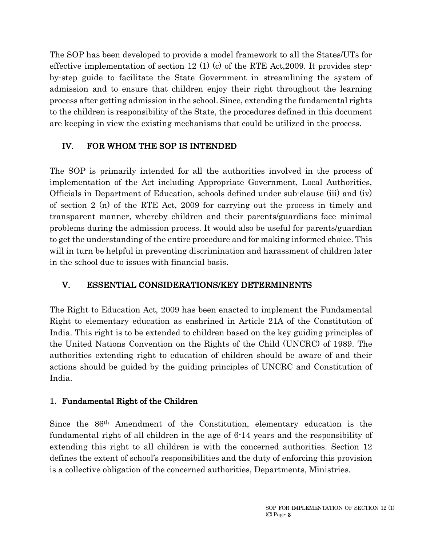The SOP has been developed to provide a model framework to all the States/UTs for effective implementation of section 12 (1) (c) of the RTE Act, 2009. It provides stepby-step guide to facilitate the State Government in streamlining the system of admission and to ensure that children enjoy their right throughout the learning process after getting admission in the school. Since, extending the fundamental rights to the children is responsibility of the State, the procedures defined in this document are keeping in view the existing mechanisms that could be utilized in the process.

# IV. FOR WHOM THE SOP IS INTENDED

The SOP is primarily intended for all the authorities involved in the process of implementation of the Act including Appropriate Government, Local Authorities, Officials in Department of Education, schools defined under sub-clause (iii) and (iv) of section 2 (n) of the RTE Act, 2009 for carrying out the process in timely and transparent manner, whereby children and their parents/guardians face minimal problems during the admission process. It would also be useful for parents/guardian to get the understanding of the entire procedure and for making informed choice. This will in turn be helpful in preventing discrimination and harassment of children later in the school due to issues with financial basis.

# V. ESSENTIAL CONSIDERATIONS/KEY DETERMINENTS

The Right to Education Act, 2009 has been enacted to implement the Fundamental Right to elementary education as enshrined in Article 21A of the Constitution of India. This right is to be extended to children based on the key guiding principles of the United Nations Convention on the Rights of the Child (UNCRC) of 1989. The authorities extending right to education of children should be aware of and their actions should be guided by the guiding principles of UNCRC and Constitution of India.

## 1. Fundamental Right of the Children

Since the 86th Amendment of the Constitution, elementary education is the fundamental right of all children in the age of 6-14 years and the responsibility of extending this right to all children is with the concerned authorities. Section 12 defines the extent of school's responsibilities and the duty of enforcing this provision is a collective obligation of the concerned authorities, Departments, Ministries.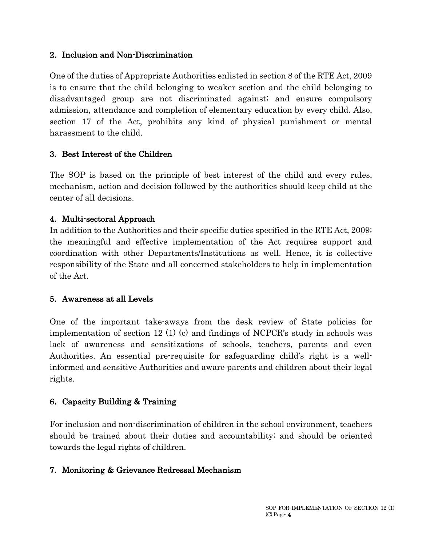#### 2. Inclusion and Non-Discrimination

One of the duties of Appropriate Authorities enlisted in section 8 of the RTE Act, 2009 is to ensure that the child belonging to weaker section and the child belonging to disadvantaged group are not discriminated against; and ensure compulsory admission, attendance and completion of elementary education by every child. Also, section 17 of the Act, prohibits any kind of physical punishment or mental harassment to the child.

#### 3. Best Interest of the Children

The SOP is based on the principle of best interest of the child and every rules, mechanism, action and decision followed by the authorities should keep child at the center of all decisions.

## 4. Multi-sectoral Approach

In addition to the Authorities and their specific duties specified in the RTE Act, 2009; the meaningful and effective implementation of the Act requires support and coordination with other Departments/Institutions as well. Hence, it is collective responsibility of the State and all concerned stakeholders to help in implementation of the Act.

#### 5. Awareness at all Levels

One of the important take-aways from the desk review of State policies for implementation of section 12 (1) (c) and findings of NCPCR's study in schools was lack of awareness and sensitizations of schools, teachers, parents and even Authorities. An essential pre-requisite for safeguarding child's right is a wellinformed and sensitive Authorities and aware parents and children about their legal rights.

## 6. Capacity Building & Training

For inclusion and non-discrimination of children in the school environment, teachers should be trained about their duties and accountability; and should be oriented towards the legal rights of children.

## 7. Monitoring & Grievance Redressal Mechanism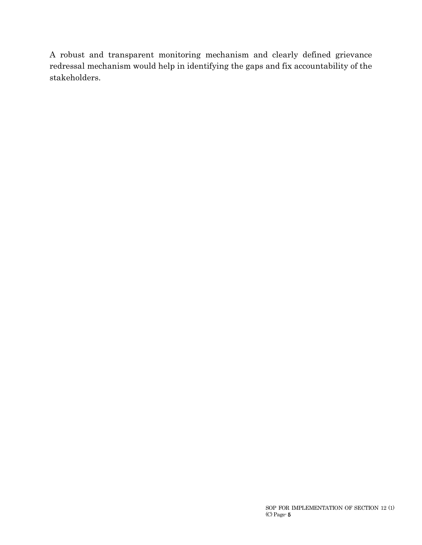A robust and transparent monitoring mechanism and clearly defined grievance redressal mechanism would help in identifying the gaps and fix accountability of the stakeholders.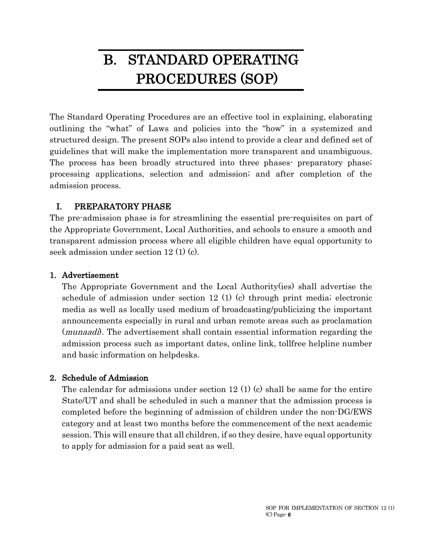# B. STANDARD OPERATING PROCEDURES (SOP)

The Standard Operating Procedures are an effective tool in explaining, elaborating outlining the "what" of Laws and policies into the "how" in a systemized and structured design. The present SOPs also intend to provide a clear and defined set of guidelines that will make the implementation more transparent and unambiguous. The process has been broadly structured into three phases preparatory phase; processing applications, selection and admission; and after completion of the admission process.

#### I. PREPARATORY PHASE

The pre-admission phase is for streamlining the essential pre-requisites on part of the Appropriate Government, Local Authorities, and schools to ensure a smooth and transparent admission process where all eligible children have equal opportunity to seek admission under section 12 (1) (c).

#### 1. Advertisement

The Appropriate Government and the Local Authority(ies) shall advertise the schedule of admission under section 12 (1) (c) through print media; electronic media as well as locally used medium of broadcasting/publicizing the important announcements especially in rural and urban remote areas such as proclamation (*munaadi*). The advertisement shall contain essential information regarding the admission process such as important dates, online link, tollfree helpline number and basic information on helpdesks.

## 2. Schedule of Admission

The calendar for admissions under section 12 (1) (c) shall be same for the entire State/UT and shall be scheduled in such a manner that the admission process is completed before the beginning of admission of children under the non-DG/EWS category and at least two months before the commencement of the next academic session. This will ensure that all children, if so they desire, have equal opportunity to apply for admission for a paid seat as well.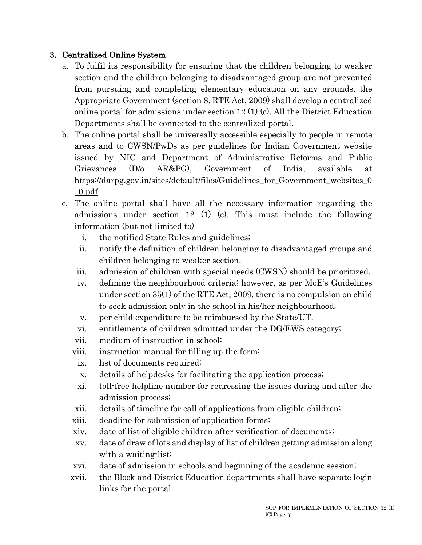## 3. Centralized Online System

- a. To fulfil its responsibility for ensuring that the children belonging to weaker section and the children belonging to disadvantaged group are not prevented from pursuing and completing elementary education on any grounds, the Appropriate Government (section 8, RTE Act, 2009) shall develop a centralized online portal for admissions under section 12 (1) (c). All the District Education Departments shall be connected to the centralized portal.
- b. The online portal shall be universally accessible especially to people in remote areas and to CWSN/PwDs as per guidelines for Indian Government website issued by NIC and Department of Administrative Reforms and Public Grievances (D/o AR&PG), Government of India, available at https://darpg.gov.in/sites/default/files/Guidelines for Government websites 0 \_0.pdf
- c. The online portal shall have all the necessary information regarding the admissions under section 12 (1) (c). This must include the following information (but not limited to)
	- i. the notified State Rules and guidelines;
	- ii. notify the definition of children belonging to disadvantaged groups and children belonging to weaker section.
	- iii. admission of children with special needs (CWSN) should be prioritized.
	- iv. defining the neighbourhood criteria; however, as per MoE's Guidelines under section 35(1) of the RTE Act, 2009, there is no compulsion on child to seek admission only in the school in his/her neighbourhood;
	- v. per child expenditure to be reimbursed by the State/UT.
	- vi. entitlements of children admitted under the DG/EWS category;
	- vii. medium of instruction in school;
	- viii. instruction manual for filling up the form;
		- ix. list of documents required;
		- x. details of helpdesks for facilitating the application process;
		- xi. toll-free helpline number for redressing the issues during and after the admission process;
	- xii. details of timeline for call of applications from eligible children;
	- xiii. deadline for submission of application forms;
	- xiv. date of list of eligible children after verification of documents;
	- xv. date of draw of lots and display of list of children getting admission along with a waiting-list;
	- xvi. date of admission in schools and beginning of the academic session;
	- xvii. the Block and District Education departments shall have separate login links for the portal.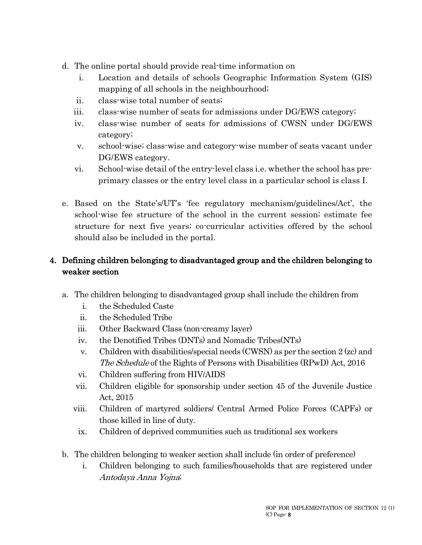- d. The online portal should provide real-time information on
	- i. Location and details of schools Geographic Information System (GIS) mapping of all schools in the neighbourhood;
	- ii. class-wise total number of seats;
	- iii. class-wise number of seats for admissions under DG/EWS category;
	- iv. class-wise number of seats for admissions of CWSN under DG/EWS category;
	- v. school-wise; class-wise and category-wise number of seats vacant under DG/EWS category.
	- vi. School-wise detail of the entry-level class i.e. whether the school has preprimary classes or the entry level class in a particular school is class I.
- e. Based on the State's/UT's 'fee regulatory mechanism/guidelines/Act', the school-wise fee structure of the school in the current session; estimate fee structure for next five years; co-curricular activities offered by the school should also be included in the portal.

# 4. Defining children belonging to disadvantaged group and the children belonging to weaker section

- a. The children belonging to disadvantaged group shall include the children from
	- i. the Scheduled Caste
	- ii. the Scheduled Tribe
	- iii. Other Backward Class (non-creamy layer)
	- iv. the Denotified Tribes (DNTs) and Nomadic Tribes(NTs)
	- v. Children with disabilities/special needs (CWSN) as per the section 2 (zc) and The Schedule of the Rights of Persons with Disabilities (RPwD) Act, 2016
	- vi. Children suffering from HIV/AIDS
	- vii. Children eligible for sponsorship under section 45 of the Juvenile Justice Act, 2015
	- viii. Children of martyred soldiers/ Central Armed Police Forces (CAPFs) or those killed in line of duty.
	- ix. Children of deprived communities such as traditional sex workers
- b. The children belonging to weaker section shall include (in order of preference)
	- i. Children belonging to such families/households that are registered under Antodaya Anna Yojna;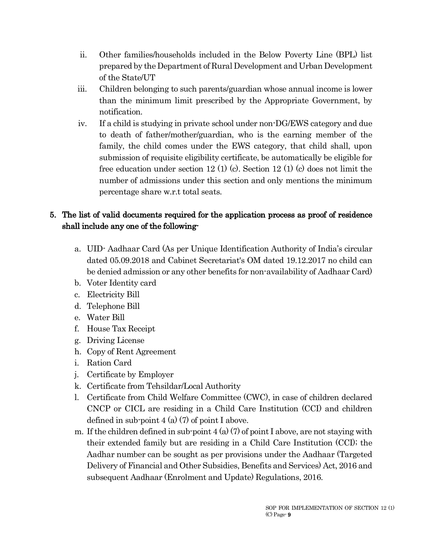- ii. Other families/households included in the Below Poverty Line (BPL) list prepared by the Department of Rural Development and Urban Development of the State/UT
- iii. Children belonging to such parents/guardian whose annual income is lower than the minimum limit prescribed by the Appropriate Government, by notification.
- iv. If a child is studying in private school under non-DG/EWS category and due to death of father/mother/guardian, who is the earning member of the family, the child comes under the EWS category, that child shall, upon submission of requisite eligibility certificate, be automatically be eligible for free education under section 12 (1) (c). Section 12 (1) (c) does not limit the number of admissions under this section and only mentions the minimum percentage share w.r.t total seats.

# 5. The list of valid documents required for the application process as proof of residence shall include any one of the following-

- a. UID- Aadhaar Card (As per Unique Identification Authority of India's circular dated 05.09.2018 and Cabinet Secretariat's OM dated 19.12.2017 no child can be denied admission or any other benefits for non-availability of Aadhaar Card)
- b. Voter Identity card
- c. Electricity Bill
- d. Telephone Bill
- e. Water Bill
- f. House Tax Receipt
- g. Driving License
- h. Copy of Rent Agreement
- i. Ration Card
- j. Certificate by Employer
- k. Certificate from Tehsildar/Local Authority
- l. Certificate from Child Welfare Committee (CWC), in case of children declared CNCP or CICL are residing in a Child Care Institution (CCI) and children defined in sub-point  $4(a)$  (7) of point I above.
- m. If the children defined in sub-point  $4 \times (2)$  of point I above, are not staying with their extended family but are residing in a Child Care Institution (CCI); the Aadhar number can be sought as per provisions under the Aadhaar (Targeted Delivery of Financial and Other Subsidies, Benefits and Services) Act, 2016 and subsequent Aadhaar (Enrolment and Update) Regulations, 2016.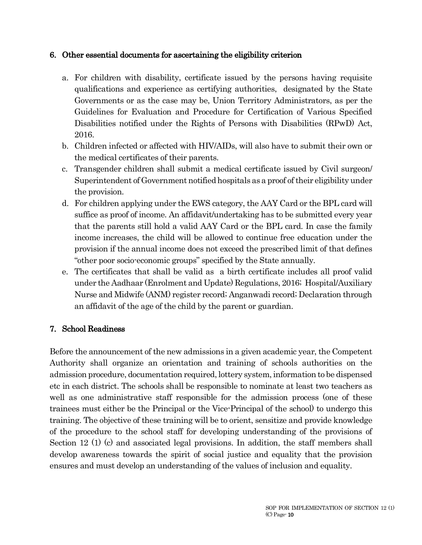#### 6. Other essential documents for ascertaining the eligibility criterion

- a. For children with disability, certificate issued by the persons having requisite qualifications and experience as certifying authorities, designated by the State Governments or as the case may be, Union Territory Administrators, as per the Guidelines for Evaluation and Procedure for Certification of Various Specified Disabilities notified under the Rights of Persons with Disabilities (RPwD) Act, 2016.
- b. Children infected or affected with HIV/AIDs, will also have to submit their own or the medical certificates of their parents.
- c. Transgender children shall submit a medical certificate issued by Civil surgeon/ Superintendent of Government notified hospitals as a proof of their eligibility under the provision.
- d. For children applying under the EWS category, the AAY Card or the BPL card will suffice as proof of income. An affidavit/undertaking has to be submitted every year that the parents still hold a valid AAY Card or the BPL card. In case the family income increases, the child will be allowed to continue free education under the provision if the annual income does not exceed the prescribed limit of that defines "other poor socio-economic groups" specified by the State annually.
- e. The certificates that shall be valid as a birth certificate includes all proof valid under the Aadhaar (Enrolment and Update) Regulations, 2016; Hospital/Auxiliary Nurse and Midwife (ANM) register record; Anganwadi record; Declaration through an affidavit of the age of the child by the parent or guardian.

#### 7. School Readiness

Before the announcement of the new admissions in a given academic year, the Competent Authority shall organize an orientation and training of schools authorities on the admission procedure, documentation required, lottery system, information to be dispensed etc in each district. The schools shall be responsible to nominate at least two teachers as well as one administrative staff responsible for the admission process (one of these trainees must either be the Principal or the Vice-Principal of the school) to undergo this training. The objective of these training will be to orient, sensitize and provide knowledge of the procedure to the school staff for developing understanding of the provisions of Section 12 (1) (c) and associated legal provisions. In addition, the staff members shall develop awareness towards the spirit of social justice and equality that the provision ensures and must develop an understanding of the values of inclusion and equality.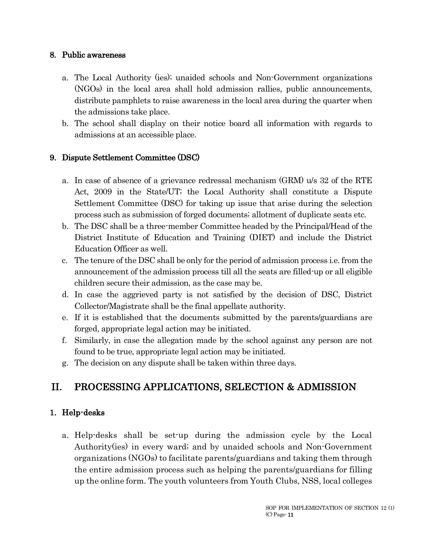#### 8. Public awareness

- a. The Local Authority (ies); unaided schools and Non-Government organizations (NGOs) in the local area shall hold admission rallies, public announcements, distribute pamphlets to raise awareness in the local area during the quarter when the admissions take place.
- b. The school shall display on their notice board all information with regards to admissions at an accessible place.

#### 9. Dispute Settlement Committee (DSC)

- a. In case of absence of a grievance redressal mechanism (GRM) u/s 32 of the RTE Act, 2009 in the State/UT; the Local Authority shall constitute a Dispute Settlement Committee (DSC) for taking up issue that arise during the selection process such as submission of forged documents; allotment of duplicate seats etc.
- b. The DSC shall be a three-member Committee headed by the Principal/Head of the District Institute of Education and Training (DIET) and include the District Education Officer as well.
- c. The tenure of the DSC shall be only for the period of admission process i.e. from the announcement of the admission process till all the seats are filled-up or all eligible children secure their admission, as the case may be.
- d. In case the aggrieved party is not satisfied by the decision of DSC, District Collector/Magistrate shall be the final appellate authority.
- e. If it is established that the documents submitted by the parents/guardians are forged, appropriate legal action may be initiated.
- f. Similarly, in case the allegation made by the school against any person are not found to be true, appropriate legal action may be initiated.
- g. The decision on any dispute shall be taken within three days.

# II. PROCESSING APPLICATIONS, SELECTION & ADMISSION

## 1. Help-desks

a. Help-desks shall be set-up during the admission cycle by the Local Authority(ies) in every ward; and by unaided schools and Non-Government organizations (NGOs) to facilitate parents/guardians and taking them through the entire admission process such as helping the parents/guardians for filling up the online form. The youth volunteers from Youth Clubs, NSS, local colleges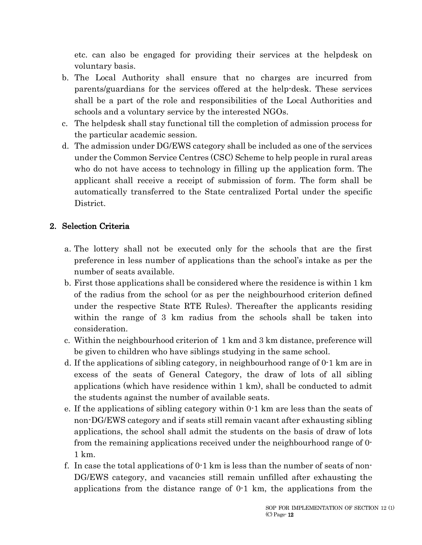etc. can also be engaged for providing their services at the helpdesk on voluntary basis.

- b. The Local Authority shall ensure that no charges are incurred from parents/guardians for the services offered at the help-desk. These services shall be a part of the role and responsibilities of the Local Authorities and schools and a voluntary service by the interested NGOs.
- c. The helpdesk shall stay functional till the completion of admission process for the particular academic session.
- d. The admission under DG/EWS category shall be included as one of the services under the Common Service Centres (CSC) Scheme to help people in rural areas who do not have access to technology in filling up the application form. The applicant shall receive a receipt of submission of form. The form shall be automatically transferred to the State centralized Portal under the specific District.

## 2. Selection Criteria

- a. The lottery shall not be executed only for the schools that are the first preference in less number of applications than the school's intake as per the number of seats available.
- b. First those applications shall be considered where the residence is within 1 km of the radius from the school (or as per the neighbourhood criterion defined under the respective State RTE Rules). Thereafter the applicants residing within the range of 3 km radius from the schools shall be taken into consideration.
- c. Within the neighbourhood criterion of 1 km and 3 km distance, preference will be given to children who have siblings studying in the same school.
- d. If the applications of sibling category, in neighbourhood range of 0-1 km are in excess of the seats of General Category, the draw of lots of all sibling applications (which have residence within 1 km), shall be conducted to admit the students against the number of available seats.
- e. If the applications of sibling category within 0-1 km are less than the seats of non-DG/EWS category and if seats still remain vacant after exhausting sibling applications, the school shall admit the students on the basis of draw of lots from the remaining applications received under the neighbourhood range of 0- 1 km.
- f. In case the total applications of  $0<sub>1</sub>$  km is less than the number of seats of non-DG/EWS category, and vacancies still remain unfilled after exhausting the applications from the distance range of 0-1 km, the applications from the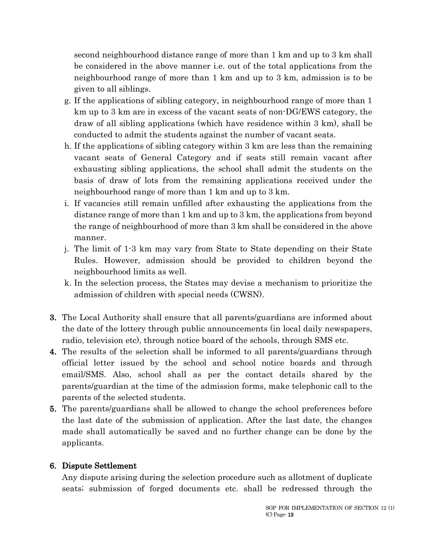second neighbourhood distance range of more than 1 km and up to 3 km shall be considered in the above manner i.e. out of the total applications from the neighbourhood range of more than 1 km and up to 3 km, admission is to be given to all siblings.

- g. If the applications of sibling category, in neighbourhood range of more than 1 km up to 3 km are in excess of the vacant seats of non-DG/EWS category, the draw of all sibling applications (which have residence within 3 km), shall be conducted to admit the students against the number of vacant seats.
- h. If the applications of sibling category within 3 km are less than the remaining vacant seats of General Category and if seats still remain vacant after exhausting sibling applications, the school shall admit the students on the basis of draw of lots from the remaining applications received under the neighbourhood range of more than 1 km and up to 3 km.
- i. If vacancies still remain unfilled after exhausting the applications from the distance range of more than 1 km and up to 3 km, the applications from beyond the range of neighbourhood of more than 3 km shall be considered in the above manner.
- j. The limit of 1-3 km may vary from State to State depending on their State Rules. However, admission should be provided to children beyond the neighbourhood limits as well.
- k. In the selection process, the States may devise a mechanism to prioritize the admission of children with special needs (CWSN).
- 3. The Local Authority shall ensure that all parents/guardians are informed about the date of the lottery through public announcements (in local daily newspapers, radio, television etc), through notice board of the schools, through SMS etc.
- 4. The results of the selection shall be informed to all parents/guardians through official letter issued by the school and school notice boards and through email/SMS. Also, school shall as per the contact details shared by the parents/guardian at the time of the admission forms, make telephonic call to the parents of the selected students.
- 5. The parents/guardians shall be allowed to change the school preferences before the last date of the submission of application. After the last date, the changes made shall automatically be saved and no further change can be done by the applicants.

#### 6. Dispute Settlement

Any dispute arising during the selection procedure such as allotment of duplicate seats; submission of forged documents etc. shall be redressed through the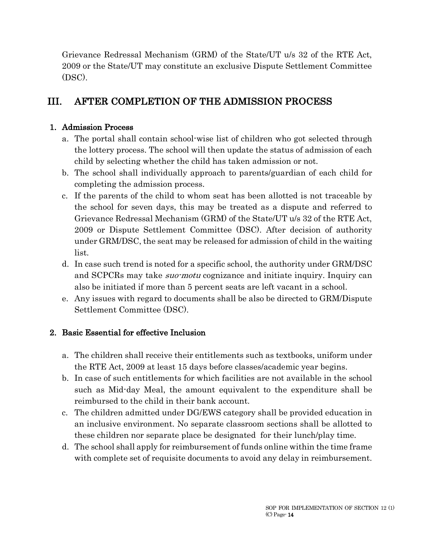Grievance Redressal Mechanism (GRM) of the State/UT u/s 32 of the RTE Act, 2009 or the State/UT may constitute an exclusive Dispute Settlement Committee (DSC).

# III. AFTER COMPLETION OF THE ADMISSION PROCESS

#### 1. Admission Process

- a. The portal shall contain school-wise list of children who got selected through the lottery process. The school will then update the status of admission of each child by selecting whether the child has taken admission or not.
- b. The school shall individually approach to parents/guardian of each child for completing the admission process.
- c. If the parents of the child to whom seat has been allotted is not traceable by the school for seven days, this may be treated as a dispute and referred to Grievance Redressal Mechanism (GRM) of the State/UT u/s 32 of the RTE Act, 2009 or Dispute Settlement Committee (DSC). After decision of authority under GRM/DSC, the seat may be released for admission of child in the waiting list.
- d. In case such trend is noted for a specific school, the authority under GRM/DSC and SCPCRs may take *suo-motu* cognizance and initiate inquiry. Inquiry can also be initiated if more than 5 percent seats are left vacant in a school.
- e. Any issues with regard to documents shall be also be directed to GRM/Dispute Settlement Committee (DSC).

#### 2. Basic Essential for effective Inclusion

- a. The children shall receive their entitlements such as textbooks, uniform under the RTE Act, 2009 at least 15 days before classes/academic year begins.
- b. In case of such entitlements for which facilities are not available in the school such as Mid-day Meal, the amount equivalent to the expenditure shall be reimbursed to the child in their bank account.
- c. The children admitted under DG/EWS category shall be provided education in an inclusive environment. No separate classroom sections shall be allotted to these children nor separate place be designated for their lunch/play time.
- d. The school shall apply for reimbursement of funds online within the time frame with complete set of requisite documents to avoid any delay in reimbursement.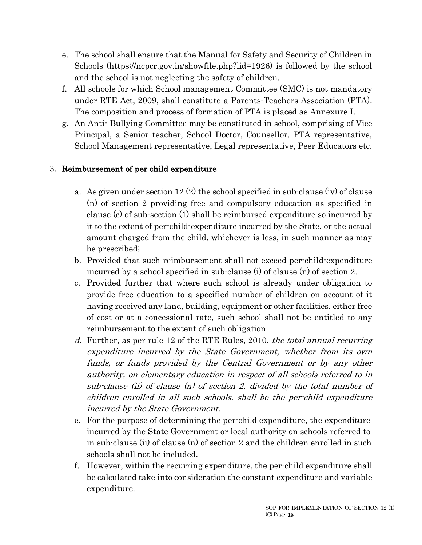- e. The school shall ensure that the Manual for Safety and Security of Children in Schools (https://ncpcr.gov.in/showfile.php?lid=1926) is followed by the school and the school is not neglecting the safety of children.
- f. All schools for which School management Committee (SMC) is not mandatory under RTE Act, 2009, shall constitute a Parents-Teachers Association (PTA). The composition and process of formation of PTA is placed as Annexure I.
- g. An Anti- Bullying Committee may be constituted in school, comprising of Vice Principal, a Senior teacher, School Doctor, Counsellor, PTA representative, School Management representative, Legal representative, Peer Educators etc.

## 3. Reimbursement of per child expenditure

- a. As given under section 12 (2) the school specified in sub-clause (iv) of clause (n) of section 2 providing free and compulsory education as specified in clause (c) of sub-section (1) shall be reimbursed expenditure so incurred by it to the extent of per-child-expenditure incurred by the State, or the actual amount charged from the child, whichever is less, in such manner as may be prescribed;
- b. Provided that such reimbursement shall not exceed per-child-expenditure incurred by a school specified in sub-clause (i) of clause (n) of section 2.
- c. Provided further that where such school is already under obligation to provide free education to a specified number of children on account of it having received any land, building, equipment or other facilities, either free of cost or at a concessional rate, such school shall not be entitled to any reimbursement to the extent of such obligation.
- d. Further, as per rule 12 of the RTE Rules, 2010, the total annual recurring expenditure incurred by the State Government, whether from its own funds, or funds provided by the Central Government or by any other authority, on elementary education in respect of all schools referred to in sub-clause (ii) of clause (n) of section 2, divided by the total number of children enrolled in all such schools, shall be the per-child expenditure incurred by the State Government.
- e. For the purpose of determining the per-child expenditure, the expenditure incurred by the State Government or local authority on schools referred to in sub-clause (ii) of clause (n) of section 2 and the children enrolled in such schools shall not be included.
- f. However, within the recurring expenditure, the per-child expenditure shall be calculated take into consideration the constant expenditure and variable expenditure.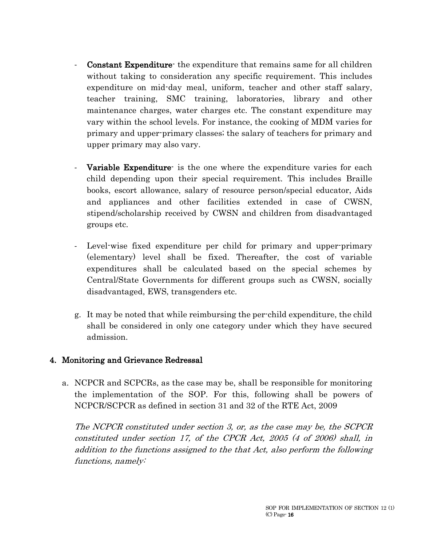- **Constant Expenditure** the expenditure that remains same for all children without taking to consideration any specific requirement. This includes expenditure on mid-day meal, uniform, teacher and other staff salary, teacher training, SMC training, laboratories, library and other maintenance charges, water charges etc. The constant expenditure may vary within the school levels. For instance, the cooking of MDM varies for primary and upper-primary classes; the salary of teachers for primary and upper primary may also vary.
- Variable Expenditure is the one where the expenditure varies for each child depending upon their special requirement. This includes Braille books, escort allowance, salary of resource person/special educator, Aids and appliances and other facilities extended in case of CWSN, stipend/scholarship received by CWSN and children from disadvantaged groups etc.
- Level-wise fixed expenditure per child for primary and upper-primary (elementary) level shall be fixed. Thereafter, the cost of variable expenditures shall be calculated based on the special schemes by Central/State Governments for different groups such as CWSN, socially disadvantaged, EWS, transgenders etc.
- g. It may be noted that while reimbursing the per-child expenditure, the child shall be considered in only one category under which they have secured admission.

#### 4. Monitoring and Grievance Redressal

a. NCPCR and SCPCRs, as the case may be, shall be responsible for monitoring the implementation of the SOP. For this, following shall be powers of NCPCR/SCPCR as defined in section 31 and 32 of the RTE Act, 2009

The NCPCR constituted under section 3, or, as the case may be, the SCPCR constituted under section 17, of the CPCR Act, 2005 (4 of 2006) shall, in addition to the functions assigned to the that Act, also perform the following functions, namely: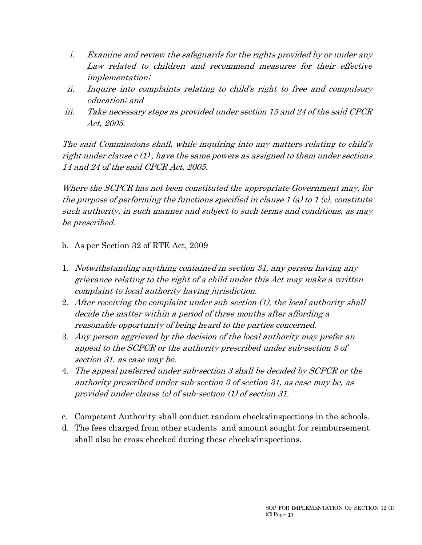- i. Examine and review the safeguards for the rights provided by or under any Law related to children and recommend measures for their effective implementation;
- ii. Inquire into complaints relating to child's right to free and compulsory education; and
- iii. Take necessary steps as provided under section 15 and 24 of the said CPCR Act, 2005.

The said Commissions shall, while inquiring into any matters relating to child's right under clause  $c(1)$ , have the same powers as assigned to them under sections 14 and 24 of the said CPCR Act, 2005.

Where the SCPCR has not been constituted the appropriate Government may, for the purpose of performing the functions specified in clause 1 (a) to 1 (c), constitute such authority, in such manner and subject to such terms and conditions, as may be prescribed.

- b. As per Section 32 of RTE Act, 2009
- 1. Notwithstanding anything contained in section 31, any person having any grievance relating to the right of a child under this Act may make a written complaint to local authority having jurisdiction.
- 2. After receiving the complaint under sub-section (1), the local authority shall decide the matter within a period of three months after affording a reasonable opportunity of being heard to the parties concerned.
- 3. Any person aggrieved by the decision of the local authority may prefer an appeal to the SCPCR or the authority prescribed under sub-section 3 of section 31, as case may be.
- 4. The appeal preferred under sub-section 3 shall be decided by SCPCR or the authority prescribed under sub-section 3 of section 31, as case may be, as provided under clause (c) of sub-section (1) of section 31.
- c. Competent Authority shall conduct random checks/inspections in the schools.
- d. The fees charged from other students and amount sought for reimbursement shall also be cross-checked during these checks/inspections.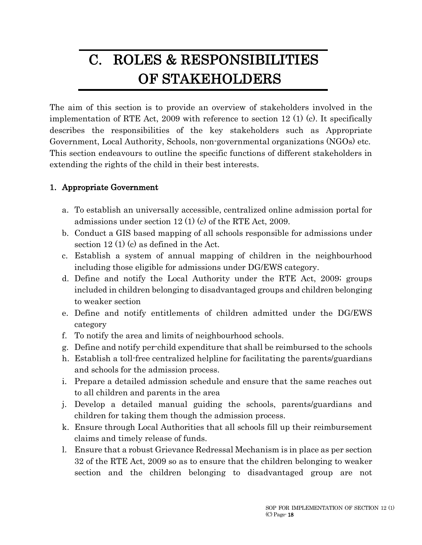# C. ROLES & RESPONSIBILITIES OF STAKEHOLDERS

The aim of this section is to provide an overview of stakeholders involved in the implementation of RTE Act, 2009 with reference to section 12 (1) (c). It specifically describes the responsibilities of the key stakeholders such as Appropriate Government, Local Authority, Schools, non-governmental organizations (NGOs) etc. This section endeavours to outline the specific functions of different stakeholders in extending the rights of the child in their best interests.

#### 1. Appropriate Government

- a. To establish an universally accessible, centralized online admission portal for admissions under section 12 (1) (c) of the RTE Act, 2009.
- b. Conduct a GIS based mapping of all schools responsible for admissions under section 12 (1) (c) as defined in the Act.
- c. Establish a system of annual mapping of children in the neighbourhood including those eligible for admissions under DG/EWS category.
- d. Define and notify the Local Authority under the RTE Act, 2009; groups included in children belonging to disadvantaged groups and children belonging to weaker section
- e. Define and notify entitlements of children admitted under the DG/EWS category
- f. To notify the area and limits of neighbourhood schools.
- g. Define and notify per-child expenditure that shall be reimbursed to the schools
- h. Establish a toll-free centralized helpline for facilitating the parents/guardians and schools for the admission process.
- i. Prepare a detailed admission schedule and ensure that the same reaches out to all children and parents in the area
- j. Develop a detailed manual guiding the schools, parents/guardians and children for taking them though the admission process.
- k. Ensure through Local Authorities that all schools fill up their reimbursement claims and timely release of funds.
- l. Ensure that a robust Grievance Redressal Mechanism is in place as per section 32 of the RTE Act, 2009 so as to ensure that the children belonging to weaker section and the children belonging to disadvantaged group are not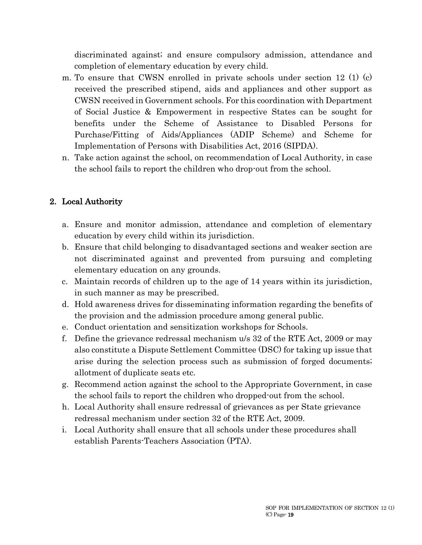discriminated against; and ensure compulsory admission, attendance and completion of elementary education by every child.

- m. To ensure that CWSN enrolled in private schools under section 12  $(1)$  (c) received the prescribed stipend, aids and appliances and other support as CWSN received in Government schools. For this coordination with Department of Social Justice & Empowerment in respective States can be sought for benefits under the Scheme of Assistance to Disabled Persons for Purchase/Fitting of Aids/Appliances (ADIP Scheme) and Scheme for Implementation of Persons with Disabilities Act, 2016 (SIPDA).
- n. Take action against the school, on recommendation of Local Authority, in case the school fails to report the children who drop-out from the school.

# 2. Local Authority

- a. Ensure and monitor admission, attendance and completion of elementary education by every child within its jurisdiction.
- b. Ensure that child belonging to disadvantaged sections and weaker section are not discriminated against and prevented from pursuing and completing elementary education on any grounds.
- c. Maintain records of children up to the age of 14 years within its jurisdiction, in such manner as may be prescribed.
- d. Hold awareness drives for disseminating information regarding the benefits of the provision and the admission procedure among general public.
- e. Conduct orientation and sensitization workshops for Schools.
- f. Define the grievance redressal mechanism u/s 32 of the RTE Act, 2009 or may also constitute a Dispute Settlement Committee (DSC) for taking up issue that arise during the selection process such as submission of forged documents; allotment of duplicate seats etc.
- g. Recommend action against the school to the Appropriate Government, in case the school fails to report the children who dropped-out from the school.
- h. Local Authority shall ensure redressal of grievances as per State grievance redressal mechanism under section 32 of the RTE Act, 2009.
- i. Local Authority shall ensure that all schools under these procedures shall establish Parents-Teachers Association (PTA).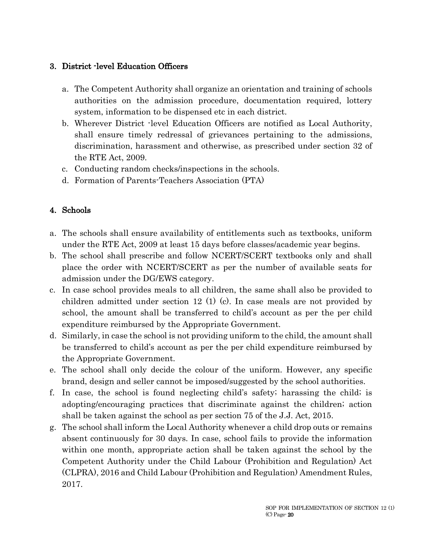#### 3. District -level Education Officers

- a. The Competent Authority shall organize an orientation and training of schools authorities on the admission procedure, documentation required, lottery system, information to be dispensed etc in each district.
- b. Wherever District -level Education Officers are notified as Local Authority, shall ensure timely redressal of grievances pertaining to the admissions, discrimination, harassment and otherwise, as prescribed under section 32 of the RTE Act, 2009.
- c. Conducting random checks/inspections in the schools.
- d. Formation of Parents-Teachers Association (PTA)

# 4. Schools

- a. The schools shall ensure availability of entitlements such as textbooks, uniform under the RTE Act, 2009 at least 15 days before classes/academic year begins.
- b. The school shall prescribe and follow NCERT/SCERT textbooks only and shall place the order with NCERT/SCERT as per the number of available seats for admission under the DG/EWS category.
- c. In case school provides meals to all children, the same shall also be provided to children admitted under section 12 (1) (c). In case meals are not provided by school, the amount shall be transferred to child's account as per the per child expenditure reimbursed by the Appropriate Government.
- d. Similarly, in case the school is not providing uniform to the child, the amount shall be transferred to child's account as per the per child expenditure reimbursed by the Appropriate Government.
- e. The school shall only decide the colour of the uniform. However, any specific brand, design and seller cannot be imposed/suggested by the school authorities.
- f. In case, the school is found neglecting child's safety; harassing the child; is adopting/encouraging practices that discriminate against the children; action shall be taken against the school as per section 75 of the J.J. Act, 2015.
- g. The school shall inform the Local Authority whenever a child drop outs or remains absent continuously for 30 days. In case, school fails to provide the information within one month, appropriate action shall be taken against the school by the Competent Authority under the Child Labour (Prohibition and Regulation) Act (CLPRA), 2016 and Child Labour (Prohibition and Regulation) Amendment Rules, 2017.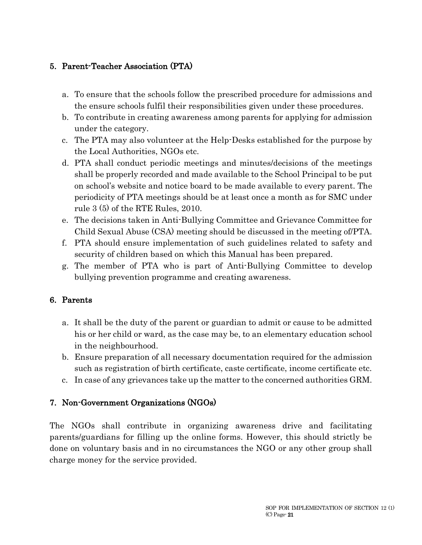# 5. Parent-Teacher Association (PTA)

- a. To ensure that the schools follow the prescribed procedure for admissions and the ensure schools fulfil their responsibilities given under these procedures.
- b. To contribute in creating awareness among parents for applying for admission under the category.
- c. The PTA may also volunteer at the Help-Desks established for the purpose by the Local Authorities, NGOs etc.
- d. PTA shall conduct periodic meetings and minutes/decisions of the meetings shall be properly recorded and made available to the School Principal to be put on school's website and notice board to be made available to every parent. The periodicity of PTA meetings should be at least once a month as for SMC under rule 3 (5) of the RTE Rules, 2010.
- e. The decisions taken in Anti-Bullying Committee and Grievance Committee for Child Sexual Abuse (CSA) meeting should be discussed in the meeting of/PTA.
- f. PTA should ensure implementation of such guidelines related to safety and security of children based on which this Manual has been prepared.
- g. The member of PTA who is part of Anti-Bullying Committee to develop bullying prevention programme and creating awareness.

## 6. Parents

- a. It shall be the duty of the parent or guardian to admit or cause to be admitted his or her child or ward, as the case may be, to an elementary education school in the neighbourhood.
- b. Ensure preparation of all necessary documentation required for the admission such as registration of birth certificate, caste certificate, income certificate etc.
- c. In case of any grievances take up the matter to the concerned authorities GRM.

## 7. Non-Government Organizations (NGOs)

The NGOs shall contribute in organizing awareness drive and facilitating parents/guardians for filling up the online forms. However, this should strictly be done on voluntary basis and in no circumstances the NGO or any other group shall charge money for the service provided.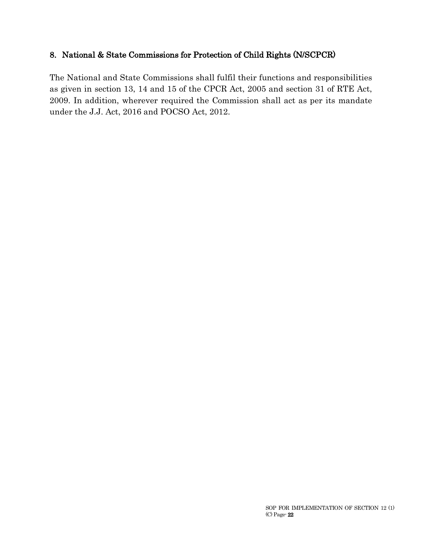#### 8. National & State Commissions for Protection of Child Rights (N/SCPCR)

The National and State Commissions shall fulfil their functions and responsibilities as given in section 13, 14 and 15 of the CPCR Act, 2005 and section 31 of RTE Act, 2009. In addition, wherever required the Commission shall act as per its mandate under the J.J. Act, 2016 and POCSO Act, 2012.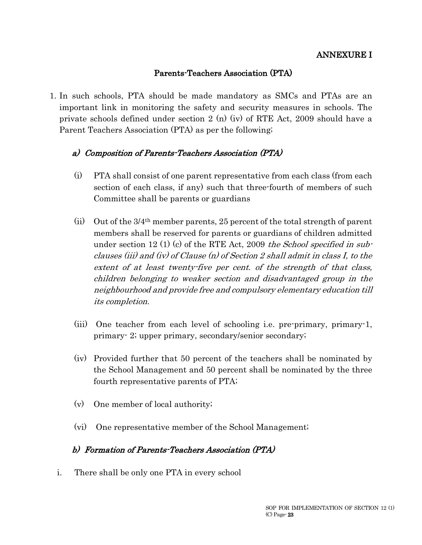#### Parents-Teachers Association (PTA)

1. In such schools, PTA should be made mandatory as SMCs and PTAs are an important link in monitoring the safety and security measures in schools. The private schools defined under section 2 (n) (iv) of RTE Act, 2009 should have a Parent Teachers Association (PTA) as per the following;

#### a) Composition of Parents-Teachers Association (PTA)

- (i) PTA shall consist of one parent representative from each class (from each section of each class, if any) such that three-fourth of members of such Committee shall be parents or guardians
- (ii) Out of the 3/4th member parents, 25 percent of the total strength of parent members shall be reserved for parents or guardians of children admitted under section 12 (1) (c) of the RTE Act, 2009 the School specified in subclauses (iii) and (iv) of Clause (n) of Section 2 shall admit in class I, to the extent of at least twenty-five per cent. of the strength of that class, children belonging to weaker section and disadvantaged group in the neighbourhood and provide free and compulsory elementary education till its completion.
- (iii) One teacher from each level of schooling i.e. pre-primary, primary-1, primary- 2; upper primary, secondary/senior secondary;
- (iv) Provided further that 50 percent of the teachers shall be nominated by the School Management and 50 percent shall be nominated by the three fourth representative parents of PTA;
- (v) One member of local authority;
- (vi) One representative member of the School Management;

#### b) Formation of Parents-Teachers Association (PTA)

i. There shall be only one PTA in every school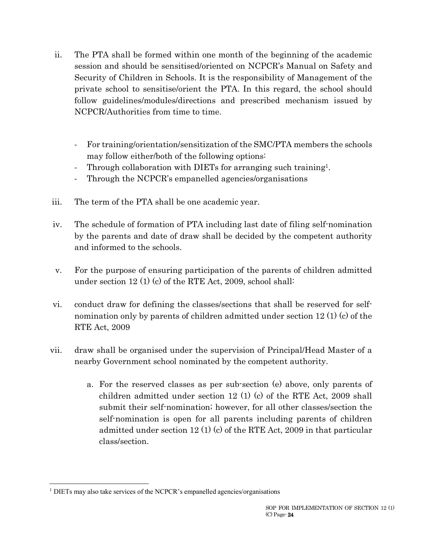- ii. The PTA shall be formed within one month of the beginning of the academic session and should be sensitised/oriented on NCPCR's Manual on Safety and Security of Children in Schools. It is the responsibility of Management of the private school to sensitise/orient the PTA. In this regard, the school should follow guidelines/modules/directions and prescribed mechanism issued by NCPCR/Authorities from time to time.
	- For training/orientation/sensitization of the SMC/PTA members the schools may follow either/both of the following options:
	- Through collaboration with DIETs for arranging such training<sup>1</sup>.
	- Through the NCPCR's empanelled agencies/organisations
- iii. The term of the PTA shall be one academic year.
- iv. The schedule of formation of PTA including last date of filing self-nomination by the parents and date of draw shall be decided by the competent authority and informed to the schools.
- v. For the purpose of ensuring participation of the parents of children admitted under section 12 (1) (c) of the RTE Act, 2009, school shall:
- vi. conduct draw for defining the classes/sections that shall be reserved for selfnomination only by parents of children admitted under section 12 (1) (c) of the RTE Act, 2009
- vii. draw shall be organised under the supervision of Principal/Head Master of a nearby Government school nominated by the competent authority.
	- a. For the reserved classes as per sub-section (e) above, only parents of children admitted under section 12 (1) (c) of the RTE Act, 2009 shall submit their self-nomination; however, for all other classes/section the self-nomination is open for all parents including parents of children admitted under section 12 (1) (c) of the RTE Act, 2009 in that particular class/section.

<sup>&</sup>lt;sup>1</sup> DIETs may also take services of the NCPCR's empanelled agencies/organisations